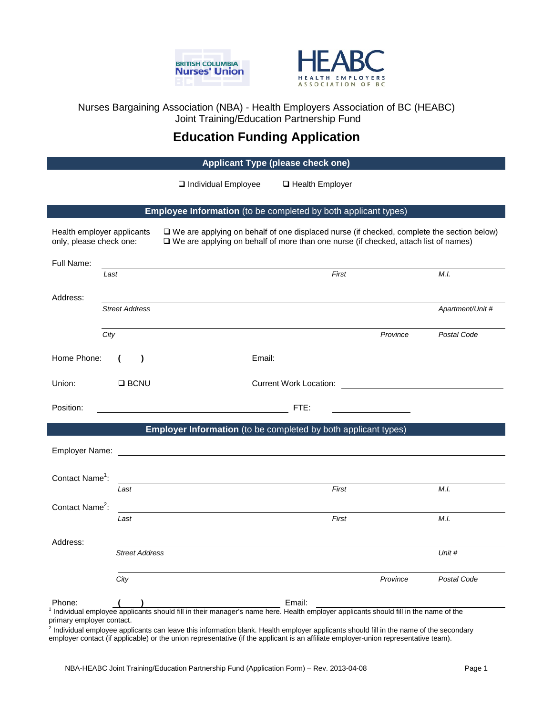



Nurses Bargaining Association (NBA) - Health Employers Association of BC (HEABC) Joint Training/Education Partnership Fund

# **Education Funding Application**

**Applicant Type (please check one)**

 $\Box$  Individual Employee  $\Box$  Health Employer

# **Employee Information** (to be completed by both applicant types)

| Health employer applicants<br>only, please check one: |                       | $\Box$ We are applying on behalf of one displaced nurse (if checked, complete the section below)<br>□ We are applying on behalf of more than one nurse (if checked, attach list of names) |                  |
|-------------------------------------------------------|-----------------------|-------------------------------------------------------------------------------------------------------------------------------------------------------------------------------------------|------------------|
| Full Name:<br>Last                                    |                       | First                                                                                                                                                                                     | M.L.             |
| Address:                                              | <b>Street Address</b> |                                                                                                                                                                                           | Apartment/Unit # |
| City                                                  |                       | Province                                                                                                                                                                                  | Postal Code      |
| Home Phone:                                           |                       | Email:                                                                                                                                                                                    |                  |
| Union:                                                | $\square$ BCNU        |                                                                                                                                                                                           |                  |
| Position:                                             |                       | FTE:                                                                                                                                                                                      |                  |
|                                                       |                       | <b>Employer Information</b> (to be completed by both applicant types)                                                                                                                     |                  |
| Employer Name:                                        |                       | <u> 1989 - Johann Stoff, deutscher Stoffen und der Stoffen und der Stoffen und der Stoffen und der Stoffen und der</u>                                                                    |                  |
| Contact Name <sup>1</sup> :                           |                       |                                                                                                                                                                                           |                  |
| Contact Name <sup>2</sup> :                           | Last                  | First                                                                                                                                                                                     | M.L.             |
|                                                       | Last                  | First                                                                                                                                                                                     | M.I.             |
| Address:                                              |                       |                                                                                                                                                                                           |                  |
|                                                       | <b>Street Address</b> |                                                                                                                                                                                           | Unit #           |
|                                                       | City                  | Province                                                                                                                                                                                  | Postal Code      |
| Phone:                                                |                       | Email:<br>Individual employee applicants should fill in their manager's name here. Health employer applicants should fill in the name of the                                              |                  |

primary employer contact.

<sup>2</sup> Individual employee applicants can leave this information blank. Health employer applicants should fill in the name of the secondary employer contact (if applicable) or the union representative (if the applicant is an affiliate employer-union representative team).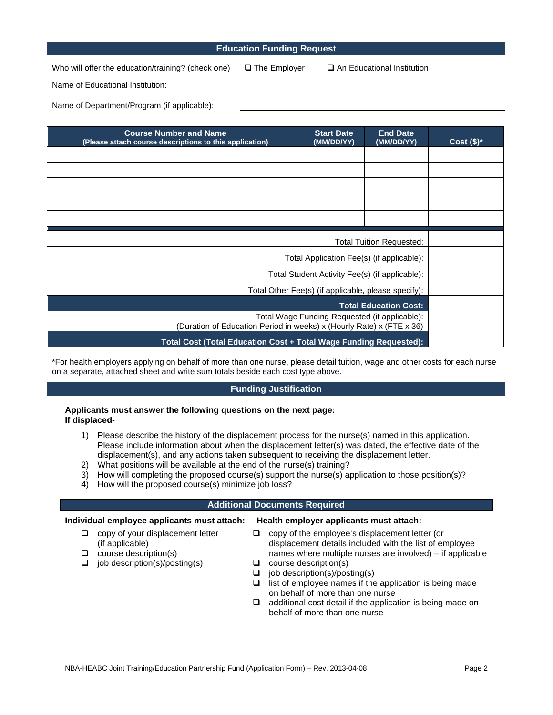# **Education Funding Request**

Who will offer the education/training? (check one)  $\Box$  The Employer  $\Box$  An Educational Institution

Name of Educational Institution:

Name of Department/Program (if applicable):

| <b>Course Number and Name</b><br>(Please attach course descriptions to this application)                              | <b>Start Date</b><br>(MM/DD/YY) | <b>End Date</b><br>(MM/DD/YY) | Cost $(\$)^*$ |
|-----------------------------------------------------------------------------------------------------------------------|---------------------------------|-------------------------------|---------------|
|                                                                                                                       |                                 |                               |               |
|                                                                                                                       |                                 |                               |               |
|                                                                                                                       |                                 |                               |               |
|                                                                                                                       |                                 |                               |               |
|                                                                                                                       |                                 |                               |               |
| <b>Total Tuition Requested:</b>                                                                                       |                                 |                               |               |
| Total Application Fee(s) (if applicable):                                                                             |                                 |                               |               |
| Total Student Activity Fee(s) (if applicable):                                                                        |                                 |                               |               |
| Total Other Fee(s) (if applicable, please specify):                                                                   |                                 |                               |               |
|                                                                                                                       |                                 | <b>Total Education Cost:</b>  |               |
| Total Wage Funding Requested (if applicable):<br>(Duration of Education Period in weeks) x (Hourly Rate) x (FTE x 36) |                                 |                               |               |
| Total Cost (Total Education Cost + Total Wage Funding Requested):                                                     |                                 |                               |               |

\*For health employers applying on behalf of more than one nurse, please detail tuition, wage and other costs for each nurse on a separate, attached sheet and write sum totals beside each cost type above.

## **Funding Justification**

### **Applicants must answer the following questions on the next page: If displaced-**

- 1) Please describe the history of the displacement process for the nurse(s) named in this application. Please include information about when the displacement letter(s) was dated, the effective date of the displacement(s), and any actions taken subsequent to receiving the displacement letter.
- 2) What positions will be available at the end of the nurse(s) training?
- 3) How will completing the proposed course(s) support the nurse(s) application to those position(s)?
- 4) How will the proposed course(s) minimize job loss?

#### **Additional Documents Required**

# **Individual employee applicants must attach: Health employer applicants must attach:**

- $\Box$  copy of your displacement letter (if applicable)
- $\Box$  course description(s)
- $\Box$  job description(s)/posting(s)

- $\Box$  copy of the employee's displacement letter (or displacement details included with the list of employee names where multiple nurses are involved) – if applicable  $\Box$  course description(s)
- $\Box$  job description(s)/posting(s)
- $\Box$  list of employee names if the application is being made on behalf of more than one nurse
- $\Box$  additional cost detail if the application is being made on behalf of more than one nurse